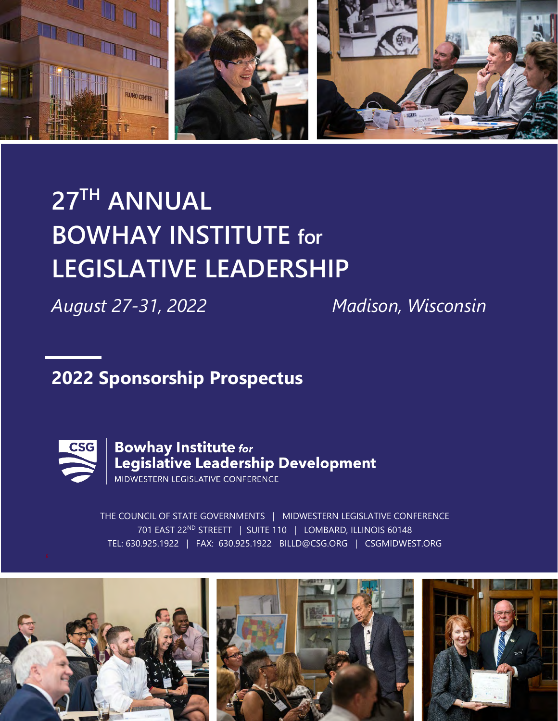

# **27TH ANNUAL BOWHAY INSTITUTE for LEGISLATIVE LEADERSHIP**

*August 27-31, 2022 Madison, Wisconsin*

# **2022 Sponsorship Prospectus**



THE COUNCIL OF STATE GOVERNMENTS | MIDWESTERN LEGISLATIVE CONFERENCE 701 EAST 22ND STREETT | SUITE 110 | LOMBARD, ILLINOIS 60148 TEL: 630.925.1922 | FAX: 630.925.1922 BILLD@CSG.ORG | CSGMIDWEST.ORG

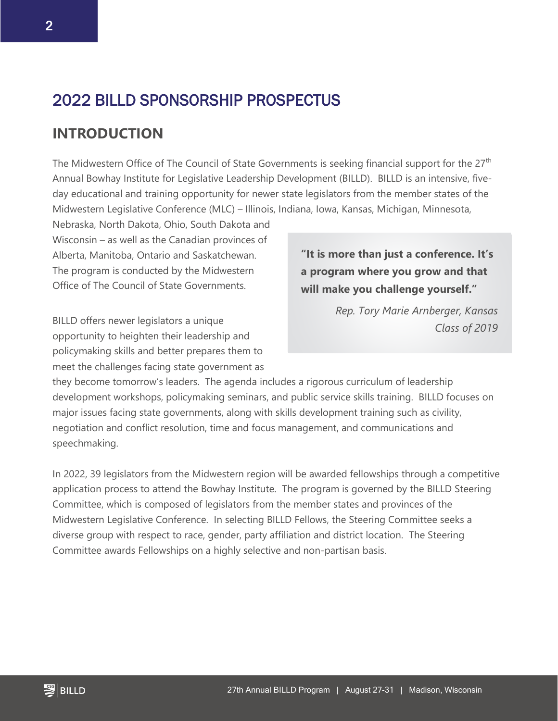## 2022 BILLD SPONSORSHIP PROSPECTUS

#### **INTRODUCTION**

The Midwestern Office of The Council of State Governments is seeking financial support for the 27<sup>th</sup> Annual Bowhay Institute for Legislative Leadership Development (BILLD). BILLD is an intensive, fiveday educational and training opportunity for newer state legislators from the member states of the Midwestern Legislative Conference (MLC) – Illinois, Indiana, Iowa, Kansas, Michigan, Minnesota,

Nebraska, North Dakota, Ohio, South Dakota and Wisconsin – as well as the Canadian provinces of Alberta, Manitoba, Ontario and Saskatchewan. The program is conducted by the Midwestern Office of The Council of State Governments.

BILLD offers newer legislators a unique opportunity to heighten their leadership and policymaking skills and better prepares them to meet the challenges facing state government as **"It is more than just a conference. It's a program where you grow and that will make you challenge yourself."**

> *Rep. Tory Marie Arnberger, Kansas Class of 2019*

they become tomorrow's leaders. The agenda includes a rigorous curriculum of leadership development workshops, policymaking seminars, and public service skills training. BILLD focuses on major issues facing state governments, along with skills development training such as civility, negotiation and conflict resolution, time and focus management, and communications and speechmaking.

In 2022, 39 legislators from the Midwestern region will be awarded fellowships through a competitive application process to attend the Bowhay Institute. The program is governed by the BILLD Steering Committee, which is composed of legislators from the member states and provinces of the Midwestern Legislative Conference. In selecting BILLD Fellows, the Steering Committee seeks a diverse group with respect to race, gender, party affiliation and district location. The Steering Committee awards Fellowships on a highly selective and non-partisan basis.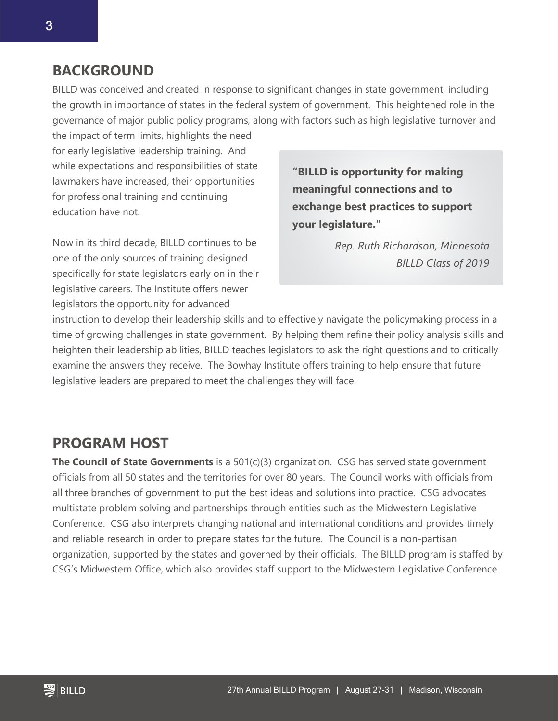#### **BACKGROUND**

BILLD was conceived and created in response to significant changes in state government, including the growth in importance of states in the federal system of government. This heightened role in the governance of major public policy programs, along with factors such as high legislative turnover and

the impact of term limits, highlights the need for early legislative leadership training. And while expectations and responsibilities of state lawmakers have increased, their opportunities for professional training and continuing education have not.

Now in its third decade, BILLD continues to be one of the only sources of training designed specifically for state legislators early on in their legislative careers. The Institute offers newer legislators the opportunity for advanced

**"BILLD is opportunity for making meaningful connections and to exchange best practices to support your legislature."**

> *Rep. Ruth Richardson, Minnesota BILLD Class of 2019*

instruction to develop their leadership skills and to effectively navigate the policymaking process in a time of growing challenges in state government. By helping them refine their policy analysis skills and heighten their leadership abilities, BILLD teaches legislators to ask the right questions and to critically examine the answers they receive. The Bowhay Institute offers training to help ensure that future legislative leaders are prepared to meet the challenges they will face.

#### **PROGRAM HOST**

**The Council of State Governments** is a 501(c)(3) organization. CSG has served state government officials from all 50 states and the territories for over 80 years. The Council works with officials from all three branches of government to put the best ideas and solutions into practice. CSG advocates multistate problem solving and partnerships through entities such as the Midwestern Legislative Conference. CSG also interprets changing national and international conditions and provides timely and reliable research in order to prepare states for the future. The Council is a non-partisan organization, supported by the states and governed by their officials. The BILLD program is staffed by CSG's Midwestern Office, which also provides staff support to the Midwestern Legislative Conference.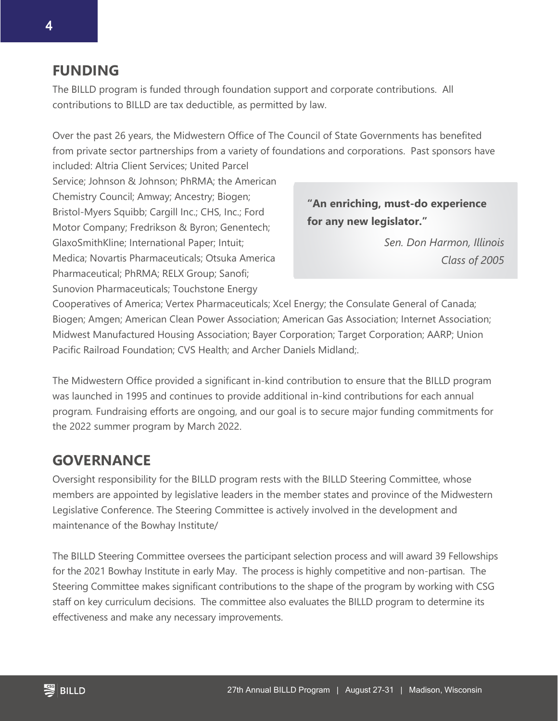#### **FUNDING**

The BILLD program is funded through foundation support and corporate contributions. All contributions to BILLD are tax deductible, as permitted by law.

Over the past 26 years, the Midwestern Office of The Council of State Governments has benefited from private sector partnerships from a variety of foundations and corporations. Past sponsors have included: Altria Client Services; United Parcel

Service; Johnson & Johnson; PhRMA; the American Chemistry Council; Amway; Ancestry; Biogen; Bristol-Myers Squibb; Cargill Inc.; CHS, Inc.; Ford Motor Company; Fredrikson & Byron; Genentech; GlaxoSmithKline; International Paper; Intuit; Medica; Novartis Pharmaceuticals; Otsuka America Pharmaceutical; PhRMA; RELX Group; Sanofi; Sunovion Pharmaceuticals; Touchstone Energy

**"An enriching, must-do experience for any new legislator."**

> *Sen. Don Harmon, Illinois Class of 2005*

Cooperatives of America; Vertex Pharmaceuticals; Xcel Energy; the Consulate General of Canada; Biogen; Amgen; American Clean Power Association; American Gas Association; Internet Association; Midwest Manufactured Housing Association; Bayer Corporation; Target Corporation; AARP; Union Pacific Railroad Foundation; CVS Health; and Archer Daniels Midland;.

The Midwestern Office provided a significant in-kind contribution to ensure that the BILLD program was launched in 1995 and continues to provide additional in-kind contributions for each annual program*.* Fundraising efforts are ongoing, and our goal is to secure major funding commitments for the 2022 summer program by March 2022.

### **GOVERNANCE**

Oversight responsibility for the BILLD program rests with the BILLD Steering Committee, whose members are appointed by legislative leaders in the member states and province of the Midwestern Legislative Conference. The Steering Committee is actively involved in the development and maintenance of the Bowhay Institute/

The BILLD Steering Committee oversees the participant selection process and will award 39 Fellowships for the 2021 Bowhay Institute in early May. The process is highly competitive and non-partisan. The Steering Committee makes significant contributions to the shape of the program by working with CSG staff on key curriculum decisions. The committee also evaluates the BILLD program to determine its effectiveness and make any necessary improvements.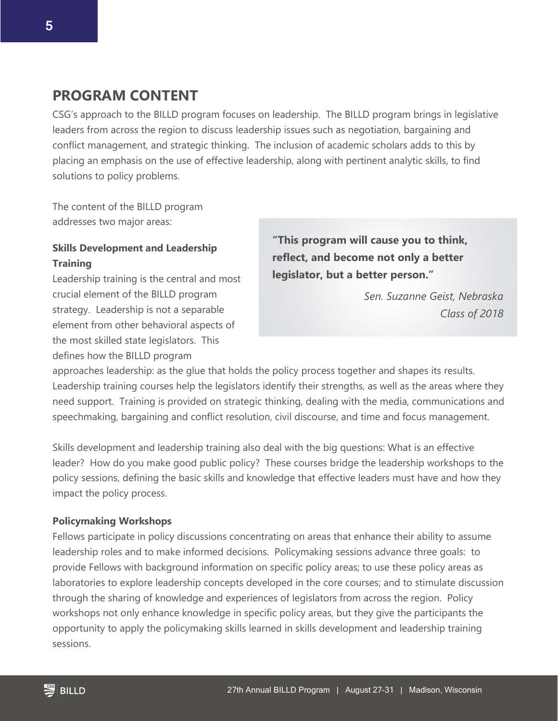#### **PROGRAM CONTENT**

CSG's approach to the BILLD program focuses on leadership. The BILLD program brings in legislative leaders from across the region to discuss leadership issues such as negotiation, bargaining and conflict management, and strategic thinking. The inclusion of academic scholars adds to this by placing an emphasis on the use of effective leadership, along with pertinent analytic skills, to find solutions to policy problems.

The content of the BILLD program addresses two major areas:

#### **Skills Development and Leadership Training**

Leadership training is the central and most crucial element of the BILLD program strategy. Leadership is not a separable element from other behavioral aspects of the most skilled state legislators. This defines how the BILLD program

**"This program will cause you to think, reflect, and become not only a better legislator, but a better person."**

> *Sen. Suzanne Geist, Nebraska Class of 2018*

approaches leadership: as the glue that holds the policy process together and shapes its results. Leadership training courses help the legislators identify their strengths, as well as the areas where they need support. Training is provided on strategic thinking, dealing with the media, communications and speechmaking, bargaining and conflict resolution, civil discourse, and time and focus management.

Skills development and leadership training also deal with the big questions: What is an effective leader? How do you make good public policy? These courses bridge the leadership workshops to the policy sessions, defining the basic skills and knowledge that effective leaders must have and how they impact the policy process.

#### **Policymaking Workshops**

Fellows participate in policy discussions concentrating on areas that enhance their ability to assume leadership roles and to make informed decisions. Policymaking sessions advance three goals: to provide Fellows with background information on specific policy areas; to use these policy areas as laboratories to explore leadership concepts developed in the core courses; and to stimulate discussion through the sharing of knowledge and experiences of legislators from across the region. Policy workshops not only enhance knowledge in specific policy areas, but they give the participants the opportunity to apply the policymaking skills learned in skills development and leadership training sessions.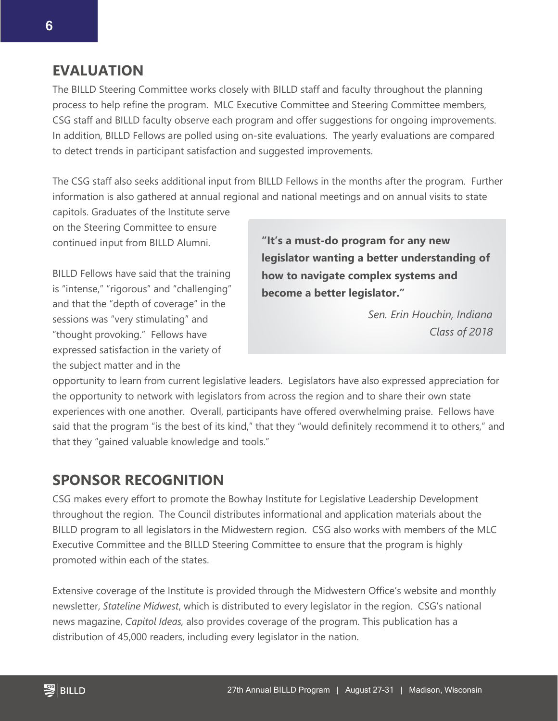#### **EVALUATION**

The BILLD Steering Committee works closely with BILLD staff and faculty throughout the planning process to help refine the program. MLC Executive Committee and Steering Committee members, CSG staff and BILLD faculty observe each program and offer suggestions for ongoing improvements. In addition, BILLD Fellows are polled using on-site evaluations. The yearly evaluations are compared to detect trends in participant satisfaction and suggested improvements.

The CSG staff also seeks additional input from BILLD Fellows in the months after the program. Further information is also gathered at annual regional and national meetings and on annual visits to state

capitols. Graduates of the Institute serve on the Steering Committee to ensure continued input from BILLD Alumni.

BILLD Fellows have said that the training is "intense," "rigorous" and "challenging" and that the "depth of coverage" in the sessions was "very stimulating" and "thought provoking." Fellows have expressed satisfaction in the variety of the subject matter and in the

**"It's a must-do program for any new legislator wanting a better understanding of how to navigate complex systems and become a better legislator."**

> *Sen. Erin Houchin, Indiana Class of 2018*

opportunity to learn from current legislative leaders. Legislators have also expressed appreciation for the opportunity to network with legislators from across the region and to share their own state experiences with one another. Overall, participants have offered overwhelming praise. Fellows have said that the program "is the best of its kind," that they "would definitely recommend it to others," and that they "gained valuable knowledge and tools."

### **SPONSOR RECOGNITION**

CSG makes every effort to promote the Bowhay Institute for Legislative Leadership Development throughout the region. The Council distributes informational and application materials about the BILLD program to all legislators in the Midwestern region. CSG also works with members of the MLC Executive Committee and the BILLD Steering Committee to ensure that the program is highly promoted within each of the states.

Extensive coverage of the Institute is provided through the Midwestern Office's website and monthly newsletter, *Stateline Midwest*, which is distributed to every legislator in the region. CSG's national news magazine, *Capitol Ideas,* also provides coverage of the program. This publication has a distribution of 45,000 readers, including every legislator in the nation.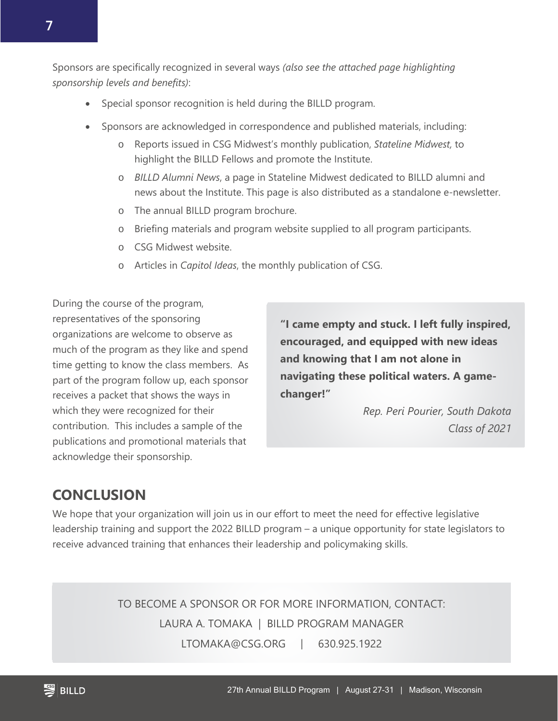Sponsors are specifically recognized in several ways *(also see the attached page highlighting sponsorship levels and benefits)*:

- Special sponsor recognition is held during the BILLD program.
- Sponsors are acknowledged in correspondence and published materials, including:
	- o Reports issued in CSG Midwest's monthly publication, *Stateline Midwest,* to highlight the BILLD Fellows and promote the Institute.
	- o *BILLD Alumni News*, a page in Stateline Midwest dedicated to BILLD alumni and news about the Institute. This page is also distributed as a standalone e-newsletter.
	- o The annual BILLD program brochure.
	- o Briefing materials and program website supplied to all program participants.
	- o CSG Midwest website.
	- o Articles in *Capitol Ideas*, the monthly publication of CSG.

During the course of the program, representatives of the sponsoring organizations are welcome to observe as much of the program as they like and spend time getting to know the class members. As part of the program follow up, each sponsor receives a packet that shows the ways in which they were recognized for their contribution. This includes a sample of the publications and promotional materials that acknowledge their sponsorship.

**"I came empty and stuck. I left fully inspired, encouraged, and equipped with new ideas and knowing that I am not alone in navigating these political waters. A gamechanger!"**

> *Rep. Peri Pourier, South Dakota Class of 2021*

### **CONCLUSION**

We hope that your organization will join us in our effort to meet the need for effective legislative leadership training and support the 2022 BILLD program – a unique opportunity for state legislators to receive advanced training that enhances their leadership and policymaking skills.

> TO BECOME A SPONSOR OR FOR MORE INFORMATION, CONTACT: LAURA A. TOMAKA | BILLD PROGRAM MANAGER LTOMAKA@CSG.ORG | 630.925.1922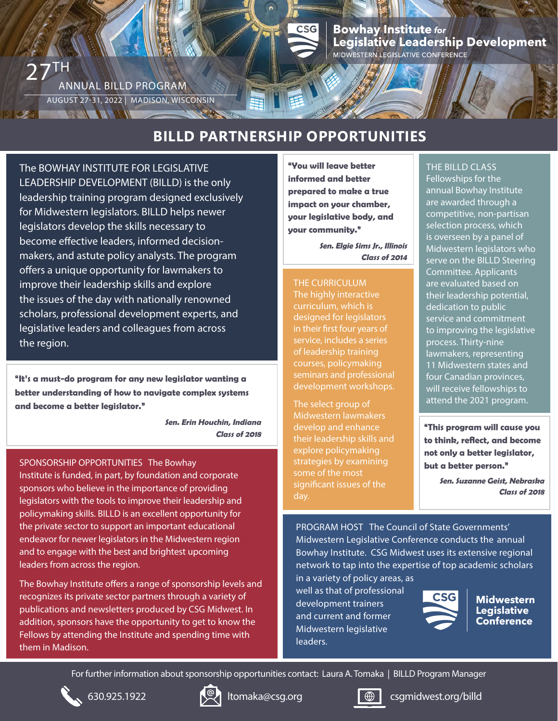### Bowhay Institute <sub>for</sub><br>Legislative Leadership Development MIDWESTERN LEGISLATIVE CONFERENCE

### **BILLD PARTNERSHIP OPPORTUNITIES**

 $CSG$ 

The BOWHAY INSTITUTE FOR LEGISLATIVE LEADERSHIP DEVELOPMENT (BILLD) is the only leadership training program designed exclusively for Midwestern legislators. BILLD helps newer legislators develop the skills necessary to become effective leaders, informed decisionmakers, and astute policy analysts. The program offers a unique opportunity for lawmakers to improve their leadership skills and explore the issues of the day with nationally renowned scholars, professional development experts, and legislative leaders and colleagues from across the region.

ANNUAL BILLD PROGRAM

**NEW WARD WARDEN** 

AUGUST 27-31, 2022 | MADISON, WISCONSIN

 $27$ <sup>TH</sup>

**"It's a must-do program for any new legislator wanting a better understanding of how to navigate complex systems and become a better legislator."**

**Sen. Erin Houchin, Indiana**

#### SPONSORSHIP OPPORTUNITIES The Bowhay

Institute is funded, in part, by foundation and corporate sponsors who believe in the importance of providing legislators with the tools to improve their leadership and policymaking skills. BILLD is an excellent opportunity for the private sector to support an important educational endeavor for newer legislators in the Midwestern region and to engage with the best and brightest upcoming leaders from across the region.

The Bowhay Institute offers a range of sponsorship levels and recognizes its private sector partners through a variety of publications and newsletters produced by CSG Midwest. In addition, sponsors have the opportunity to get to know the Fellows by attending the Institute and spending time with them in Madison.

**"You will leave better informed and better prepared to make a true impact on your chamber, your legislative body, and your community."**

> **Sen. Elgie Sims Jr., Illinois Class of 2014**

THE CURRICULUM The highly interactive curriculum, which is designed for legislators in their first four years of service, includes a series of leadership training courses, policymaking seminars and professional development workshops.

The select group of Midwestern lawmakers develop and enhance their leadership skills and explore policymaking strategies by examining some of the most significant issues of the day.

#### THE BILLD CLASS

Fellowships for the annual Bowhay Institute are awarded through a competitive, non-partisan selection process, which is overseen by a panel of Midwestern legislators who serve on the BILLD Steering Committee. Applicants are evaluated based on their leadership potential, dedication to public service and commitment to improving the legislative process. Thirty-nine lawmakers, representing 11 Midwestern states and four Canadian provinces, will receive fellowships to attend the 2021 program.

**Class of 2018 example 2018 Class of 2018 Class of 2018 Extending Lines Section** 1 **to think, reflect, and become not only a better legislator, but a better person."**

> **Sen. Suzanne Geist, Nebraska Class of 2018**

PROGRAM HOST The Council of State Governments' Midwestern Legislative Conference conducts the annual Bowhay Institute. CSG Midwest uses its extensive regional network to tap into the expertise of top academic scholars

in a variety of policy areas, as well as that of professional development trainers and current and former Midwestern legislative leaders.



**Midwestern Legislative Conference** 

For further information about sponsorship opportunities contact: Laura A. Tomaka | BILLD Program Manager







630.925.1922 **I**  $\mathbb{Q}$  I tomaka@csg.org **comes community** csgmidwest.org/billd